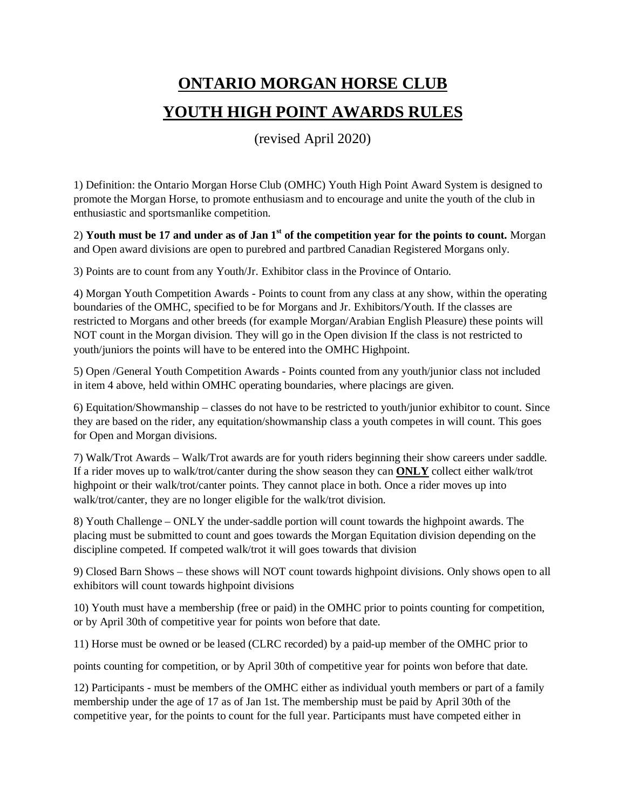# **ONTARIO MORGAN HORSE CLUB YOUTH HIGH POINT AWARDS RULES**

(revised April 2020)

1) Definition: the Ontario Morgan Horse Club (OMHC) Youth High Point Award System is designed to promote the Morgan Horse, to promote enthusiasm and to encourage and unite the youth of the club in enthusiastic and sportsmanlike competition.

2) **Youth must be 17 and under as of Jan 1st of the competition year for the points to count.** Morgan and Open award divisions are open to purebred and partbred Canadian Registered Morgans only.

3) Points are to count from any Youth/Jr. Exhibitor class in the Province of Ontario.

4) Morgan Youth Competition Awards - Points to count from any class at any show, within the operating boundaries of the OMHC, specified to be for Morgans and Jr. Exhibitors/Youth. If the classes are restricted to Morgans and other breeds (for example Morgan/Arabian English Pleasure) these points will NOT count in the Morgan division. They will go in the Open division If the class is not restricted to youth/juniors the points will have to be entered into the OMHC Highpoint.

5) Open /General Youth Competition Awards - Points counted from any youth/junior class not included in item 4 above, held within OMHC operating boundaries, where placings are given.

6) Equitation/Showmanship – classes do not have to be restricted to youth/junior exhibitor to count. Since they are based on the rider, any equitation/showmanship class a youth competes in will count. This goes for Open and Morgan divisions.

7) Walk/Trot Awards – Walk/Trot awards are for youth riders beginning their show careers under saddle. If a rider moves up to walk/trot/canter during the show season they can **ONLY** collect either walk/trot highpoint or their walk/trot/canter points. They cannot place in both. Once a rider moves up into walk/trot/canter, they are no longer eligible for the walk/trot division.

8) Youth Challenge – ONLY the under-saddle portion will count towards the highpoint awards. The placing must be submitted to count and goes towards the Morgan Equitation division depending on the discipline competed. If competed walk/trot it will goes towards that division

9) Closed Barn Shows – these shows will NOT count towards highpoint divisions. Only shows open to all exhibitors will count towards highpoint divisions

10) Youth must have a membership (free or paid) in the OMHC prior to points counting for competition, or by April 30th of competitive year for points won before that date.

11) Horse must be owned or be leased (CLRC recorded) by a paid-up member of the OMHC prior to

points counting for competition, or by April 30th of competitive year for points won before that date.

12) Participants - must be members of the OMHC either as individual youth members or part of a family membership under the age of 17 as of Jan 1st. The membership must be paid by April 30th of the competitive year, for the points to count for the full year. Participants must have competed either in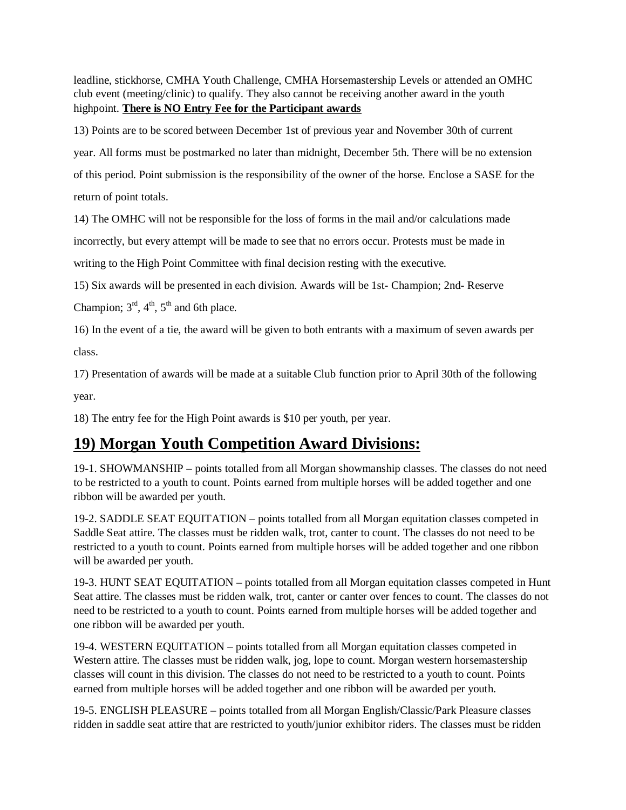leadline, stickhorse, CMHA Youth Challenge, CMHA Horsemastership Levels or attended an OMHC club event (meeting/clinic) to qualify. They also cannot be receiving another award in the youth highpoint. **There is NO Entry Fee for the Participant awards**

13) Points are to be scored between December 1st of previous year and November 30th of current

year. All forms must be postmarked no later than midnight, December 5th. There will be no extension

of this period. Point submission is the responsibility of the owner of the horse. Enclose a SASE for the

return of point totals.

14) The OMHC will not be responsible for the loss of forms in the mail and/or calculations made

incorrectly, but every attempt will be made to see that no errors occur. Protests must be made in

writing to the High Point Committee with final decision resting with the executive.

15) Six awards will be presented in each division. Awards will be 1st- Champion; 2nd- Reserve

Champion;  $3<sup>rd</sup>$ ,  $4<sup>th</sup>$ ,  $5<sup>th</sup>$  and 6th place.

16) In the event of a tie, the award will be given to both entrants with a maximum of seven awards per class.

17) Presentation of awards will be made at a suitable Club function prior to April 30th of the following year.

18) The entry fee for the High Point awards is \$10 per youth, per year.

#### **19) Morgan Youth Competition Award Divisions:**

19-1. SHOWMANSHIP – points totalled from all Morgan showmanship classes. The classes do not need to be restricted to a youth to count. Points earned from multiple horses will be added together and one ribbon will be awarded per youth.

19-2. SADDLE SEAT EQUITATION – points totalled from all Morgan equitation classes competed in Saddle Seat attire. The classes must be ridden walk, trot, canter to count. The classes do not need to be restricted to a youth to count. Points earned from multiple horses will be added together and one ribbon will be awarded per youth.

19-3. HUNT SEAT EQUITATION – points totalled from all Morgan equitation classes competed in Hunt Seat attire. The classes must be ridden walk, trot, canter or canter over fences to count. The classes do not need to be restricted to a youth to count. Points earned from multiple horses will be added together and one ribbon will be awarded per youth.

19-4. WESTERN EQUITATION – points totalled from all Morgan equitation classes competed in Western attire. The classes must be ridden walk, jog, lope to count. Morgan western horsemastership classes will count in this division. The classes do not need to be restricted to a youth to count. Points earned from multiple horses will be added together and one ribbon will be awarded per youth.

19-5. ENGLISH PLEASURE – points totalled from all Morgan English/Classic/Park Pleasure classes ridden in saddle seat attire that are restricted to youth/junior exhibitor riders. The classes must be ridden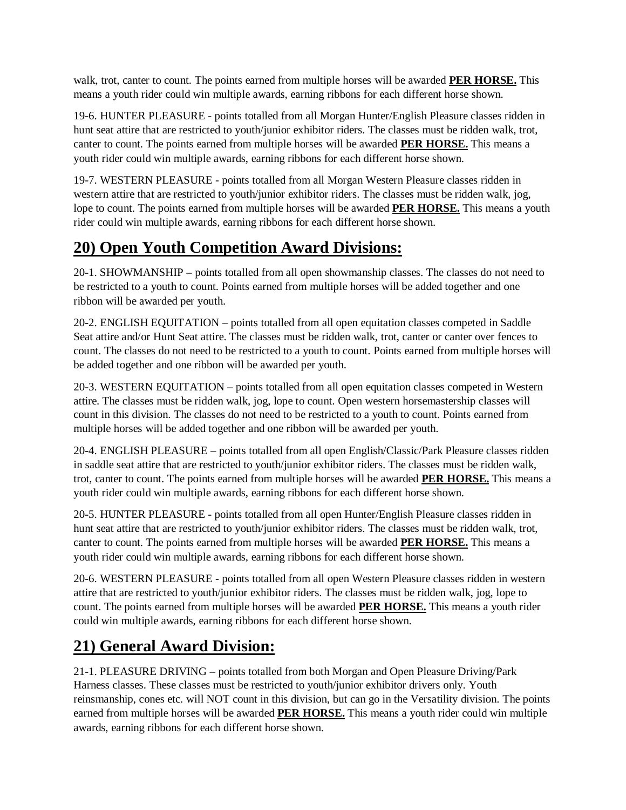walk, trot, canter to count. The points earned from multiple horses will be awarded **PER HORSE.** This means a youth rider could win multiple awards, earning ribbons for each different horse shown.

19-6. HUNTER PLEASURE - points totalled from all Morgan Hunter/English Pleasure classes ridden in hunt seat attire that are restricted to youth/junior exhibitor riders. The classes must be ridden walk, trot, canter to count. The points earned from multiple horses will be awarded **PER HORSE.** This means a youth rider could win multiple awards, earning ribbons for each different horse shown.

19-7. WESTERN PLEASURE - points totalled from all Morgan Western Pleasure classes ridden in western attire that are restricted to youth/junior exhibitor riders. The classes must be ridden walk, jog, lope to count. The points earned from multiple horses will be awarded **PER HORSE.** This means a youth rider could win multiple awards, earning ribbons for each different horse shown.

## **20) Open Youth Competition Award Divisions:**

20-1. SHOWMANSHIP – points totalled from all open showmanship classes. The classes do not need to be restricted to a youth to count. Points earned from multiple horses will be added together and one ribbon will be awarded per youth.

20-2. ENGLISH EQUITATION – points totalled from all open equitation classes competed in Saddle Seat attire and/or Hunt Seat attire. The classes must be ridden walk, trot, canter or canter over fences to count. The classes do not need to be restricted to a youth to count. Points earned from multiple horses will be added together and one ribbon will be awarded per youth.

20-3. WESTERN EQUITATION – points totalled from all open equitation classes competed in Western attire. The classes must be ridden walk, jog, lope to count. Open western horsemastership classes will count in this division. The classes do not need to be restricted to a youth to count. Points earned from multiple horses will be added together and one ribbon will be awarded per youth.

20-4. ENGLISH PLEASURE – points totalled from all open English/Classic/Park Pleasure classes ridden in saddle seat attire that are restricted to youth/junior exhibitor riders. The classes must be ridden walk, trot, canter to count. The points earned from multiple horses will be awarded **PER HORSE.** This means a youth rider could win multiple awards, earning ribbons for each different horse shown.

20-5. HUNTER PLEASURE - points totalled from all open Hunter/English Pleasure classes ridden in hunt seat attire that are restricted to youth/junior exhibitor riders. The classes must be ridden walk, trot, canter to count. The points earned from multiple horses will be awarded **PER HORSE.** This means a youth rider could win multiple awards, earning ribbons for each different horse shown.

20-6. WESTERN PLEASURE - points totalled from all open Western Pleasure classes ridden in western attire that are restricted to youth/junior exhibitor riders. The classes must be ridden walk, jog, lope to count. The points earned from multiple horses will be awarded **PER HORSE.** This means a youth rider could win multiple awards, earning ribbons for each different horse shown.

### **21) General Award Division:**

21-1. PLEASURE DRIVING – points totalled from both Morgan and Open Pleasure Driving/Park Harness classes. These classes must be restricted to youth/junior exhibitor drivers only. Youth reinsmanship, cones etc. will NOT count in this division, but can go in the Versatility division. The points earned from multiple horses will be awarded **PER HORSE.** This means a youth rider could win multiple awards, earning ribbons for each different horse shown.